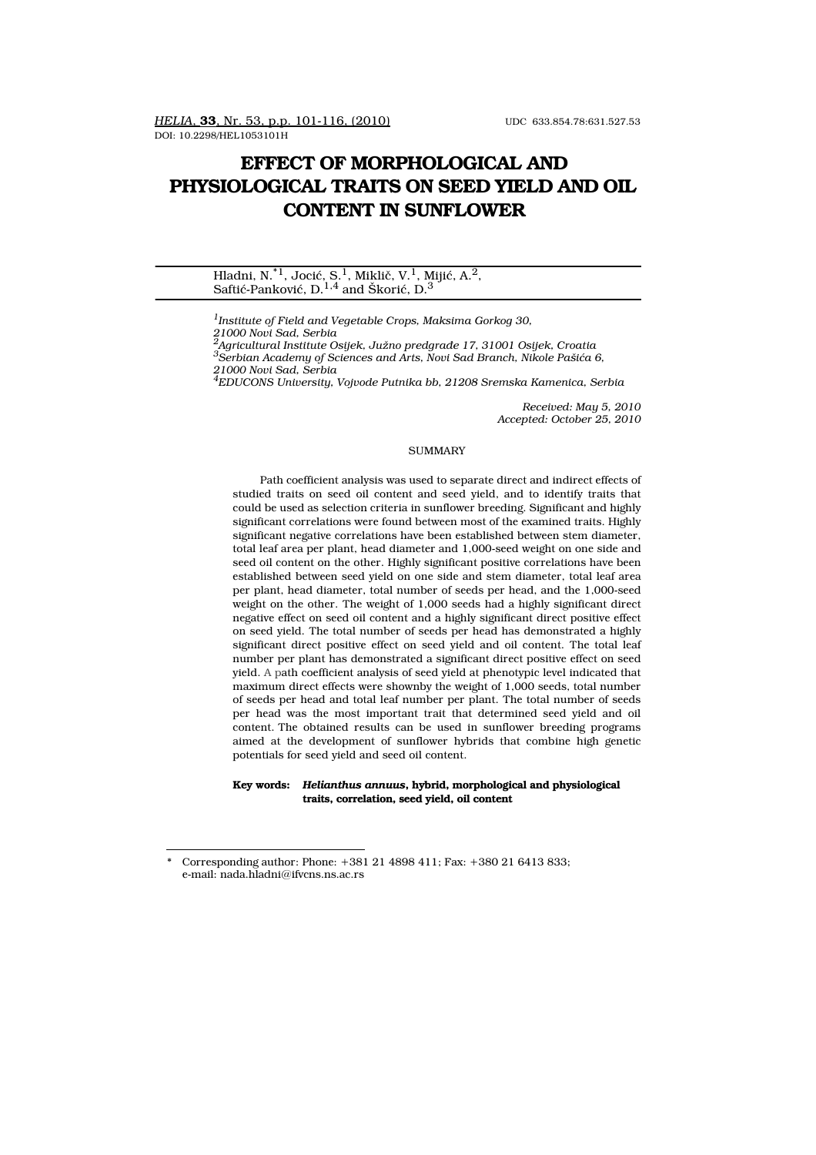DOI: 10.2298/HEL1053101H

# **EFFECT OF MORPHOLOGICAL AND PHYSIOLOGICAL TRAITS ON SEED YIELD AND OIL CONTENT IN SUNFLOWER**

Hladni, N. $^{*1}$ , Jocić, S.<sup>1</sup>, Miklič, V.<sup>1</sup>, Mijić, A.<sup>2</sup>, Saftić-Panković,  $D<sup>1,4</sup>$  and Škorić,  $D<sup>3</sup>$ 

*1Institute of Field and Vegetable Crops, Maksima Gorkog 30, 21000 Novi Sad, Serbia 2Agricultural Institute Osijek, Južno predgrađe 17, 31001 Osijek, Croatia 3Serbian Academy of Sciences and Arts, Novi Sad Branch, Nikole Pašića 6, 21000 Novi Sad, Serbia*

*4EDUCONS University, Vojvode Putnika bb, 21208 Sremska Kamenica, Serbia*

*Received: May 5, 2010 Accepted: October 25, 2010*

#### SUMMARY

Path coefficient analysis was used to separate direct and indirect effects of studied traits on seed oil content and seed yield, and to identify traits that could be used as selection criteria in sunflower breeding. Significant and highly significant correlations were found between most of the examined traits. Highly significant negative correlations have been established between stem diameter, total leaf area per plant, head diameter and 1,000-seed weight on one side and seed oil content on the other. Highly significant positive correlations have been established between seed yield on one side and stem diameter, total leaf area per plant, head diameter, total number of seeds per head, and the 1,000-seed weight on the other. The weight of 1,000 seeds had a highly significant direct negative effect on seed oil content and a highly significant direct positive effect on seed yield. The total number of seeds per head has demonstrated a highly significant direct positive effect on seed yield and oil content. The total leaf number per plant has demonstrated a significant direct positive effect on seed yield. A path coefficient analysis of seed yield at phenotypic level indicated that maximum direct effects were shownby the weight of 1,000 seeds, total number of seeds per head and total leaf number per plant. The total number of seeds per head was the most important trait that determined seed yield and oil content. The obtained results can be used in sunflower breeding programs aimed at the development of sunflower hybrids that combine high genetic potentials for seed yield and seed oil content.

**Key words:** *Helianthus annuus***, hybrid, morphological and physiological traits, correlation, seed yield, oil content**

<sup>\*</sup> Corresponding author: Phone: +381 21 4898 411; Fax: +380 21 6413 833; e-mail: nada.hladni@ifvcns.ns.ac.rs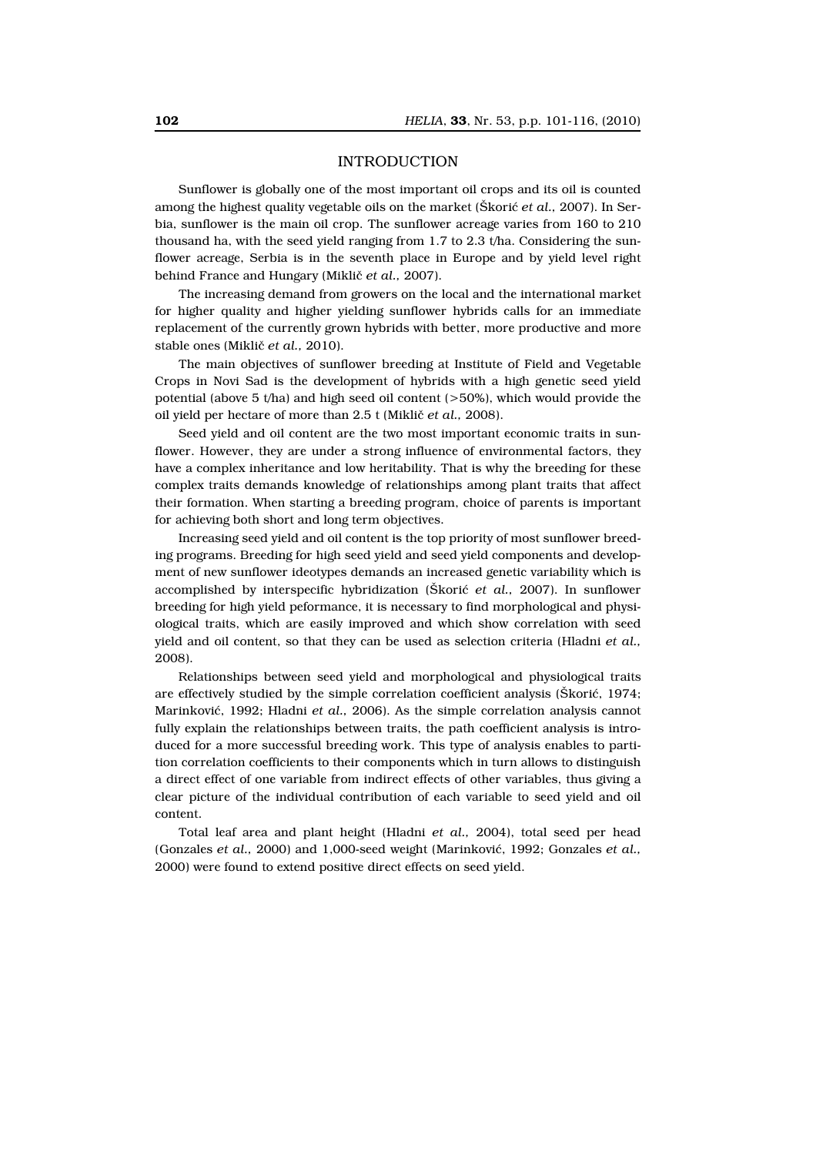## INTRODUCTION

Sunflower is globally one of the most important oil crops and its oil is counted among the highest quality vegetable oils on the market (Škorić *et al.,* 2007). In Serbia, sunflower is the main oil crop. The sunflower acreage varies from 160 to 210 thousand ha, with the seed yield ranging from 1.7 to 2.3 t/ha. Considering the sunflower acreage, Serbia is in the seventh place in Europe and by yield level right behind France and Hungary (Miklič *et al.,* 2007).

The increasing demand from growers on the local and the international market for higher quality and higher yielding sunflower hybrids calls for an immediate replacement of the currently grown hybrids with better, more productive and more stable ones (Miklič *et al.,* 2010).

The main objectives of sunflower breeding at Institute of Field and Vegetable Crops in Novi Sad is the development of hybrids with a high genetic seed yield potential (above 5 t/ha) and high seed oil content (>50%), which would provide the oil yield per hectare of more than 2.5 t (Miklič *et al.,* 2008).

Seed yield and oil content are the two most important economic traits in sunflower. However, they are under a strong influence of environmental factors, they have a complex inheritance and low heritability. That is why the breeding for these complex traits demands knowledge of relationships among plant traits that affect their formation. When starting a breeding program, choice of parents is important for achieving both short and long term objectives.

Increasing seed yield and oil content is the top priority of most sunflower breeding programs. Breeding for high seed yield and seed yield components and development of new sunflower ideotypes demands an increased genetic variability which is accomplished by interspecific hybridization (Škorić *et al.,* 2007). In sunflower breeding for high yield peformance, it is necessary to find morphological and physiological traits, which are easily improved and which show correlation with seed yield and oil content, so that they can be used as selection criteria (Hladni *et al.,* 2008).

Relationships between seed yield and morphological and physiological traits are effectively studied by the simple correlation coefficient analysis (Škorić, 1974; Marinković, 1992; Hladni *et al.,* 2006). As the simple correlation analysis cannot fully explain the relationships between traits, the path coefficient analysis is introduced for a more successful breeding work. This type of analysis enables to partition correlation coefficients to their components which in turn allows to distinguish a direct effect of one variable from indirect effects of other variables, thus giving a clear picture of the individual contribution of each variable to seed yield and oil content.

Total leaf area and plant height (Hladni *et al.,* 2004), total seed per head (Gonzales *et al.,* 2000) and 1,000-seed weight (Marinković, 1992; Gonzales *et al.,* 2000) were found to extend positive direct effects on seed yield.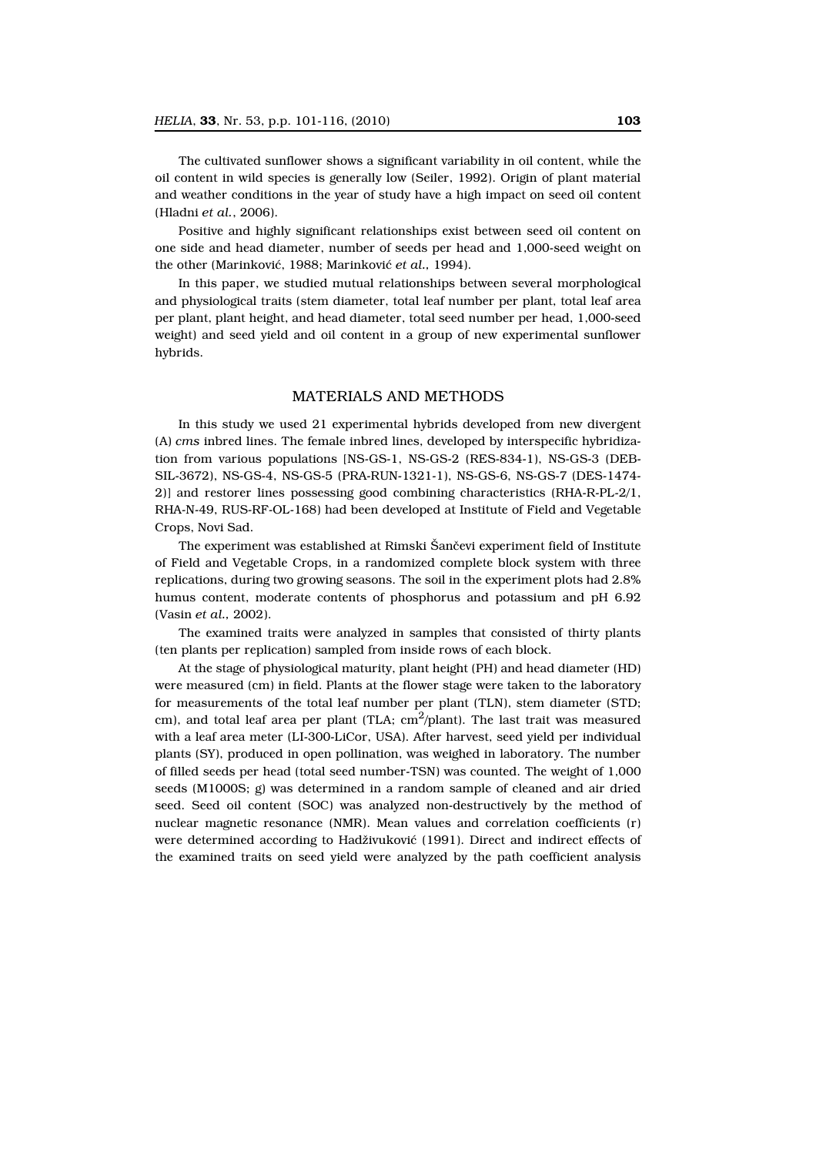The cultivated sunflower shows a significant variability in oil content, while the oil content in wild species is generally low (Seiler, 1992). Origin of plant material and weather conditions in the year of study have a high impact on seed oil content (Hladni *et al.*, 2006).

Positive and highly significant relationships exist between seed oil content on one side and head diameter, number of seeds per head and 1,000-seed weight on the other (Marinković, 1988; Marinković *et al.,* 1994).

In this paper, we studied mutual relationships between several morphological and physiological traits (stem diameter, total leaf number per plant, total leaf area per plant, plant height, and head diameter, total seed number per head, 1,000-seed weight) and seed yield and oil content in a group of new experimental sunflower hybrids.

## MATERIALS AND METHODS

In this study we used 21 experimental hybrids developed from new divergent (A) *cms* inbred lines. The female inbred lines, developed by interspecific hybridization from various populations [NS-GS-1, NS-GS-2 (RES-834-1), NS-GS-3 (DEB-SIL-3672), NS-GS-4, NS-GS-5 (PRA-RUN-1321-1), NS-GS-6, NS-GS-7 (DES-1474- 2)] and restorer lines possessing good combining characteristics (RHA-R-PL-2/1, RHA-N-49, RUS-RF-OL-168) had been developed at Institute of Field and Vegetable Crops, Novi Sad.

The experiment was established at Rimski Šančevi experiment field of Institute of Field and Vegetable Crops, in a randomized complete block system with three replications, during two growing seasons. The soil in the experiment plots had 2.8% humus content, moderate contents of phosphorus and potassium and pH 6.92 (Vasin *et al.,* 2002).

The examined traits were analyzed in samples that consisted of thirty plants (ten plants per replication) sampled from inside rows of each block.

At the stage of physiological maturity, plant height (PH) and head diameter (HD) were measured (cm) in field. Plants at the flower stage were taken to the laboratory for measurements of the total leaf number per plant (TLN), stem diameter (STD; cm), and total leaf area per plant (TLA;  $cm^2$ /plant). The last trait was measured with a leaf area meter (LI-300-LiCor, USA). After harvest, seed yield per individual plants (SY), produced in open pollination, was weighed in laboratory. The number of filled seeds per head (total seed number-TSN) was counted. The weight of 1,000 seeds (M1000S; g) was determined in a random sample of cleaned and air dried seed. Seed oil content (SOC) was analyzed non-destructively by the method of nuclear magnetic resonance (NMR). Mean values and correlation coefficients (r) were determined according to Hadživuković (1991). Direct and indirect effects of the examined traits on seed yield were analyzed by the path coefficient analysis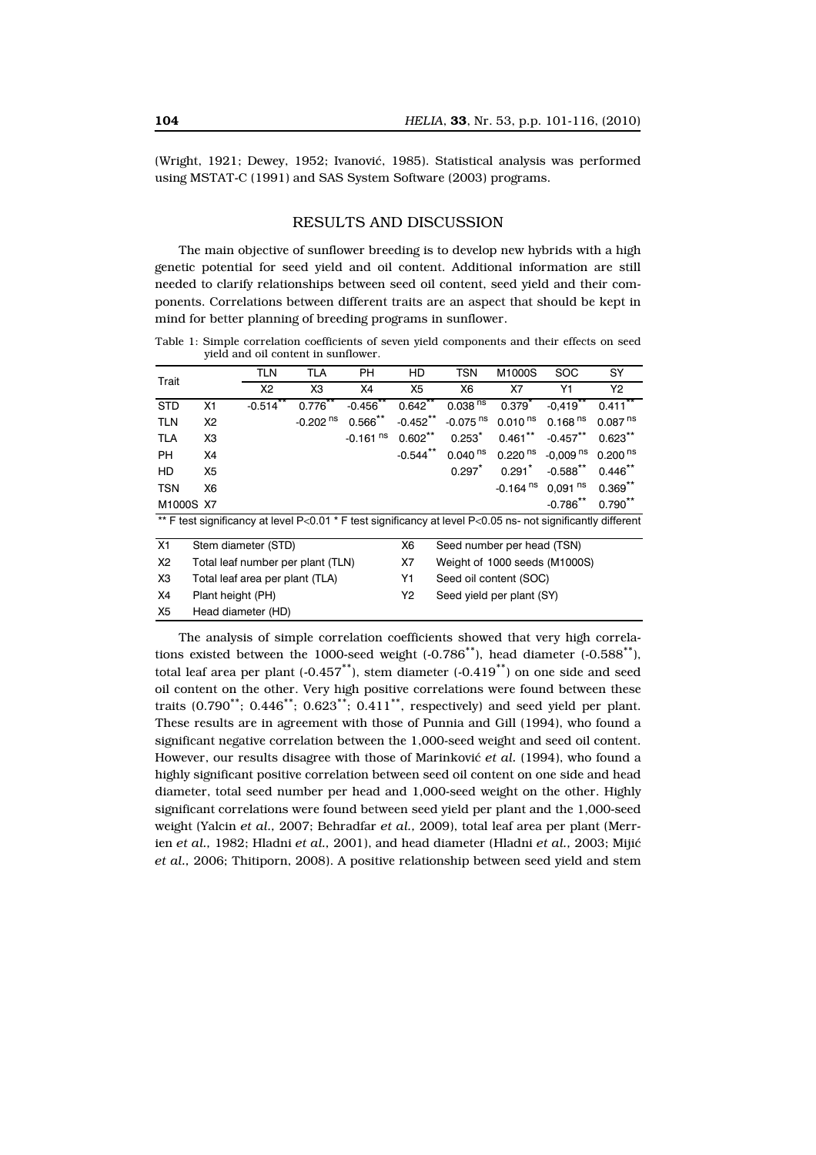(Wright, 1921; Dewey, 1952; Ivanović, 1985). Statistical analysis was performed using MSTAT-C (1991) and SAS System Software (2003) programs.

#### RESULTS AND DISCUSSION

The main objective of sunflower breeding is to develop new hybrids with a high genetic potential for seed yield and oil content. Additional information are still needed to clarify relationships between seed oil content, seed yield and their components. Correlations between different traits are an aspect that should be kept in mind for better planning of breeding programs in sunflower.

Table 1: Simple correlation coefficients of seven yield components and their effects on seed yield and oil content in sunflower.

| Trait                                                                                                                |                     | <b>TLN</b>                        | <b>TLA</b>             | <b>PH</b>              | HD                         | <b>TSN</b>                    | M1000S                 | <b>SOC</b>             | SY                  |  |  |
|----------------------------------------------------------------------------------------------------------------------|---------------------|-----------------------------------|------------------------|------------------------|----------------------------|-------------------------------|------------------------|------------------------|---------------------|--|--|
|                                                                                                                      |                     | X2                                | XЗ                     | Х4                     | X <sub>5</sub>             | X <sub>6</sub>                | X7                     | Y1                     | Y <sub>2</sub>      |  |  |
| <b>STD</b>                                                                                                           | X1                  | $-0.514$ **                       | $0.776***$             | $-0.456***$            | $0.642***$                 | 0.038 <sup>ns</sup>           | $0.379^{*}$            | $-0,419$ **            | $0.411***$          |  |  |
| <b>TLN</b>                                                                                                           | X <sub>2</sub>      |                                   | $-0.202$ <sup>ns</sup> | $0.566***$             | $-0.452***$                | $-0.075$ <sup>ns</sup>        | 0.010 <sup>ns</sup>    | 0.168 <sup>ns</sup>    | 0.087 <sup>ns</sup> |  |  |
| <b>TLA</b>                                                                                                           | X <sub>3</sub>      |                                   |                        | $-0.161$ <sup>ns</sup> | $0.602***$                 | $0.253*$                      | $0.461***$             | $-0.457$ **            | $0.623***$          |  |  |
| <b>PH</b>                                                                                                            | X4                  |                                   |                        |                        | $-0.544***$                | $0.040$ <sup>ns</sup>         | 0.220 <sup>ns</sup>    | $-0.009$ <sup>ns</sup> | 0.200 <sup>ns</sup> |  |  |
| HD                                                                                                                   | X <sub>5</sub>      |                                   |                        |                        |                            | 0.297                         | 0.291                  | $-0.588$ **            | $0.446***$          |  |  |
| TSN                                                                                                                  | X6                  |                                   |                        |                        |                            |                               | $-0.164$ <sup>ns</sup> | $0,091$ <sup>ns</sup>  | $0.369***$          |  |  |
|                                                                                                                      | M1000S X7           |                                   |                        |                        |                            |                               |                        | $-0.786$ **            | $0.790***$          |  |  |
| ** F test significancy at level $P < 0.01$ * F test significancy at level $P < 0.05$ ns- not significantly different |                     |                                   |                        |                        |                            |                               |                        |                        |                     |  |  |
| X1                                                                                                                   | Stem diameter (STD) |                                   |                        | X6                     | Seed number per head (TSN) |                               |                        |                        |                     |  |  |
| X <sub>2</sub>                                                                                                       |                     | Total leaf number per plant (TLN) |                        |                        | X7                         | Weight of 1000 seeds (M1000S) |                        |                        |                     |  |  |
| X <sub>3</sub>                                                                                                       |                     | Total leaf area per plant (TLA)   |                        |                        | Y1                         | Seed oil content (SOC)        |                        |                        |                     |  |  |
| X4                                                                                                                   | Plant height (PH)   |                                   |                        |                        | Υ2                         | Seed yield per plant (SY)     |                        |                        |                     |  |  |
| X <sub>5</sub>                                                                                                       | Head diameter (HD)  |                                   |                        |                        |                            |                               |                        |                        |                     |  |  |

The analysis of simple correlation coefficients showed that very high correlations existed between the 1000-seed weight  $(-0.786^{**})$ , head diameter  $(-0.588^{**})$ . total leaf area per plant  $(-0.457^{**})$ , stem diameter  $(-0.419^{**})$  on one side and seed oil content on the other. Very high positive correlations were found between these traits  $(0.790<sup>**</sup>; 0.446<sup>**</sup>; 0.623<sup>**</sup>; 0.411<sup>**</sup>$ , respectively) and seed yield per plant. These results are in agreement with those of Punnia and Gill (1994), who found a significant negative correlation between the 1,000-seed weight and seed oil content. However, our results disagree with those of Marinković *et al.* (1994), who found a highly significant positive correlation between seed oil content on one side and head diameter, total seed number per head and 1,000-seed weight on the other. Highly significant correlations were found between seed yield per plant and the 1,000-seed weight (Yalcin *et al.,* 2007; Behradfar *et al.,* 2009), total leaf area per plant (Merrien *et al.,* 1982; Hladni *et al.,* 2001), and head diameter (Hladni *et al.,* 2003; Mijić *et al.,* 2006; Thitiporn, 2008). A positive relationship between seed yield and stem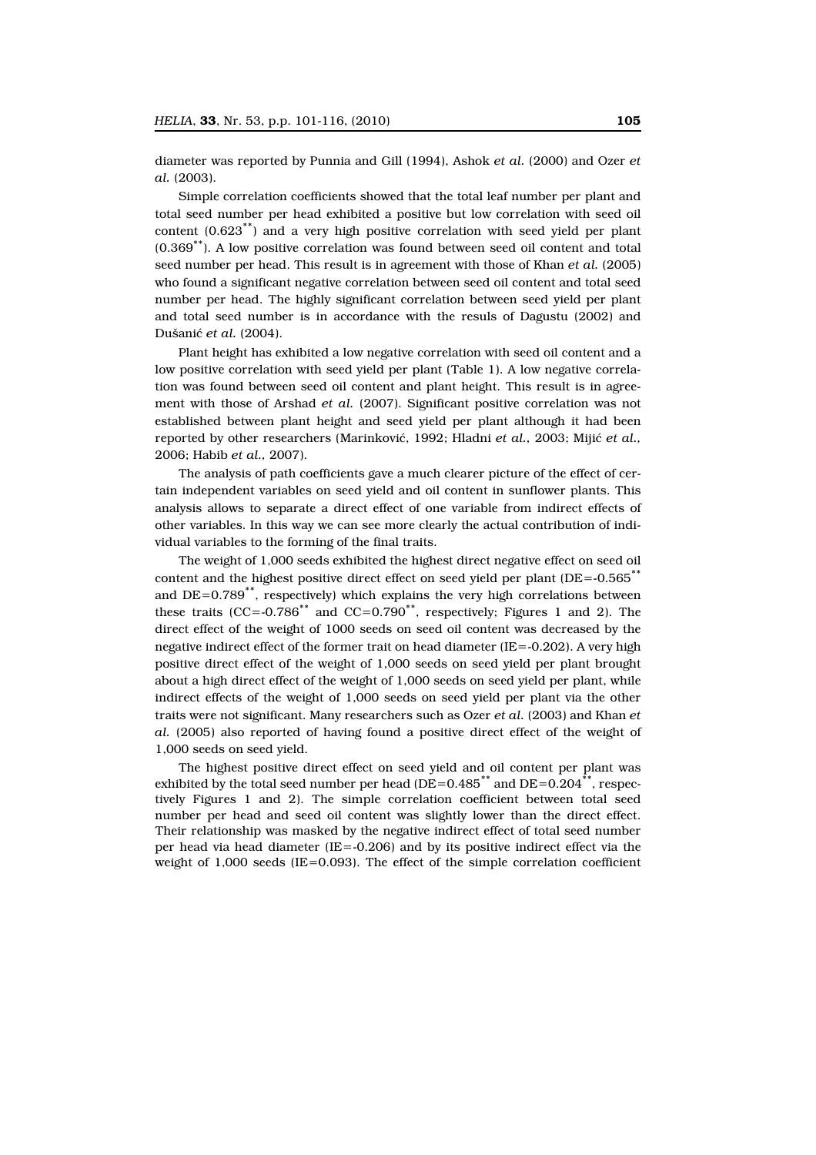diameter was reported by Punnia and Gill (1994), Ashok *et al.* (2000) and Ozer *et al.* (2003).

Simple correlation coefficients showed that the total leaf number per plant and total seed number per head exhibited a positive but low correlation with seed oil content (0.623\*\*) and a very high positive correlation with seed yield per plant (0.369\*\*). A low positive correlation was found between seed oil content and total seed number per head. This result is in agreement with those of Khan *et al.* (2005) who found a significant negative correlation between seed oil content and total seed number per head. The highly significant correlation between seed yield per plant and total seed number is in accordance with the resuls of Dagustu (2002) and Dušanić *et al.* (2004).

Plant height has exhibited a low negative correlation with seed oil content and a low positive correlation with seed yield per plant (Table 1). A low negative correlation was found between seed oil content and plant height. This result is in agreement with those of Arshad *et al.* (2007). Significant positive correlation was not established between plant height and seed yield per plant although it had been reported by other researchers (Marinković, 1992; Hladni *et al.,* 2003; Mijić *et al.,* 2006; Habib *et al.,* 2007).

The analysis of path coefficients gave a much clearer picture of the effect of certain independent variables on seed yield and oil content in sunflower plants. This analysis allows to separate a direct effect of one variable from indirect effects of other variables. In this way we can see more clearly the actual contribution of individual variables to the forming of the final traits.

The weight of 1,000 seeds exhibited the highest direct negative effect on seed oil content and the highest positive direct effect on seed yield per plant ( $DE = -0.565$ <sup>\*\*</sup> and  $DE=0.789$ <sup>\*\*</sup>, respectively) which explains the very high correlations between these traits (CC=-0.786<sup>\*\*</sup> and CC=0.790<sup>\*\*</sup>, respectively; Figures 1 and 2). The direct effect of the weight of 1000 seeds on seed oil content was decreased by the negative indirect effect of the former trait on head diameter (IE=-0.202). A very high positive direct effect of the weight of 1,000 seeds on seed yield per plant brought about a high direct effect of the weight of 1,000 seeds on seed yield per plant, while indirect effects of the weight of 1,000 seeds on seed yield per plant via the other traits were not significant. Many researchers such as Ozer *et al.* (2003) and Khan *et al.* (2005) also reported of having found a positive direct effect of the weight of 1,000 seeds on seed yield.

The highest positive direct effect on seed yield and oil content per plant was exhibited by the total seed number per head ( $DE=0.485$ <sup>\*\*</sup> and  $DE=0.204$ <sup>\*\*</sup>, respectively Figures 1 and 2). The simple correlation coefficient between total seed number per head and seed oil content was slightly lower than the direct effect. Their relationship was masked by the negative indirect effect of total seed number per head via head diameter  $(IE = 0.206)$  and by its positive indirect effect via the weight of  $1,000$  seeds (IE=0.093). The effect of the simple correlation coefficient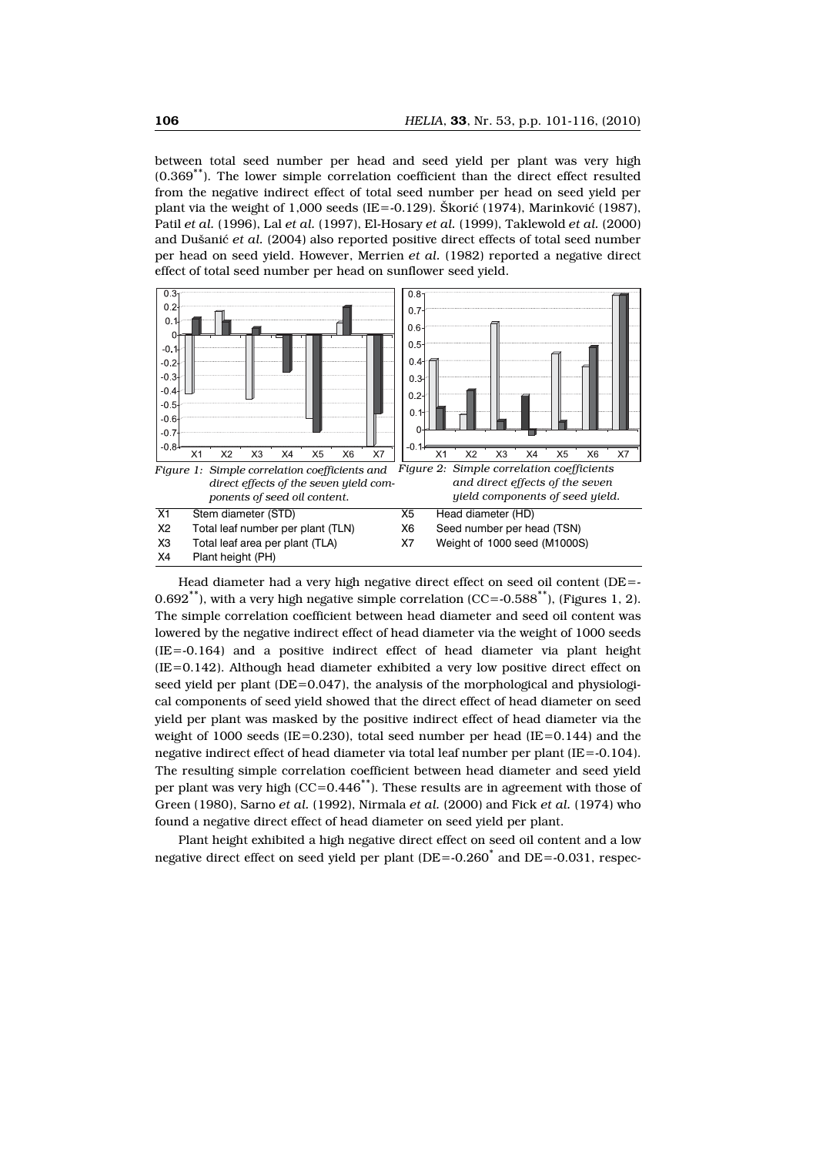between total seed number per head and seed yield per plant was very high (0.369\*\*). The lower simple correlation coefficient than the direct effect resulted from the negative indirect effect of total seed number per head on seed yield per plant via the weight of 1,000 seeds (IE= $-0.129$ ). Škorić (1974), Marinković (1987), Patil *et al.* (1996), Lal *et al.* (1997), El-Hosary *et al.* (1999), Taklewold *et al.* (2000) and Dušanić *et al.* (2004) also reported positive direct effects of total seed number per head on seed yield. However, Merrien *et al.* (1982) reported a negative direct effect of total seed number per head on sunflower seed yield.



Head diameter had a very high negative direct effect on seed oil content (DE=-  $0.692$ <sup>\*\*</sup>), with a very high negative simple correlation (CC= $-0.588$ <sup>\*\*</sup>), (Figures 1, 2). The simple correlation coefficient between head diameter and seed oil content was lowered by the negative indirect effect of head diameter via the weight of 1000 seeds (IE=-0.164) and a positive indirect effect of head diameter via plant height  $(IE=0.142)$ . Although head diameter exhibited a very low positive direct effect on seed yield per plant (DE=0.047), the analysis of the morphological and physiological components of seed yield showed that the direct effect of head diameter on seed yield per plant was masked by the positive indirect effect of head diameter via the weight of 1000 seeds (IE=0.230), total seed number per head (IE=0.144) and the negative indirect effect of head diameter via total leaf number per plant (IE=-0.104). The resulting simple correlation coefficient between head diameter and seed yield per plant was very high  $(CC=0.446^{**})$ . These results are in agreement with those of Green (1980), Sarno *et al.* (1992), Nirmala *et al.* (2000) and Fick *et al.* (1974) who found a negative direct effect of head diameter on seed yield per plant.

Plant height exhibited a high negative direct effect on seed oil content and a low negative direct effect on seed yield per plant  $(DE = -0.260^*$  and  $DE = -0.031$ , respec-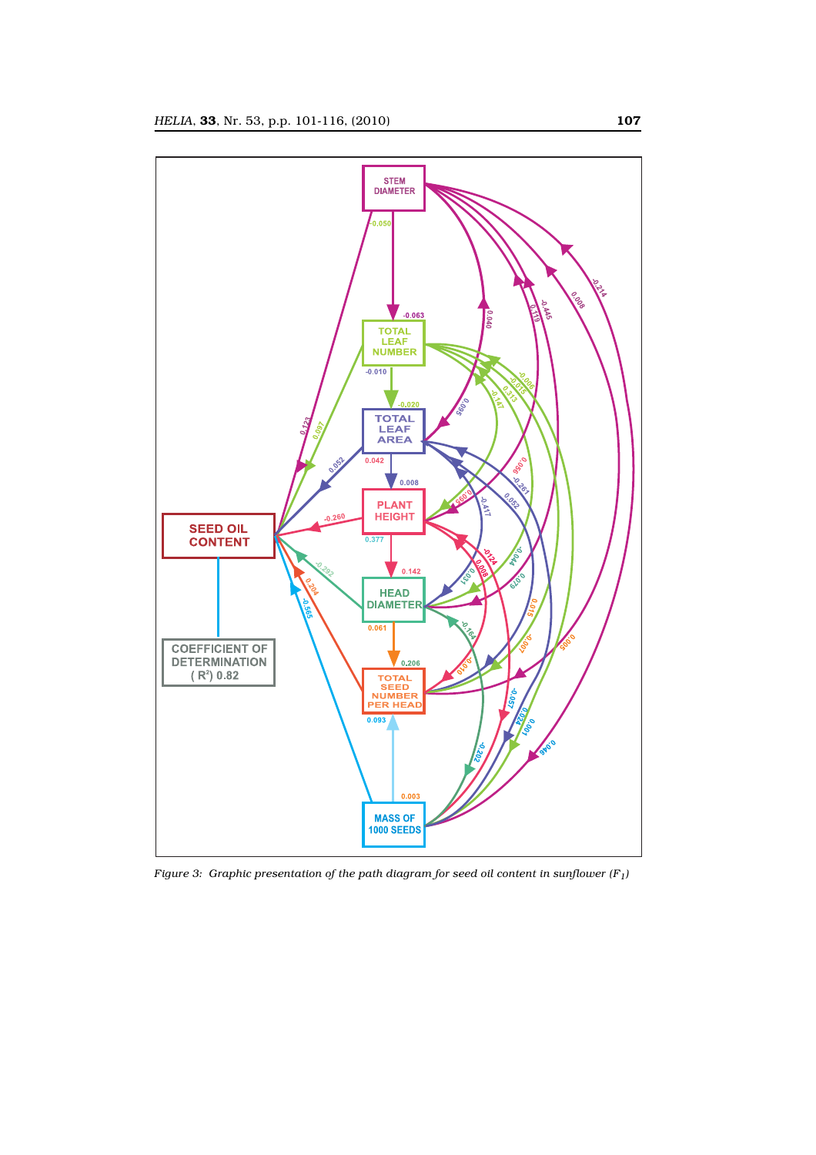

*Figure 3: Graphic presentation of the path diagram for seed oil content in sunflower*  $(F_1)$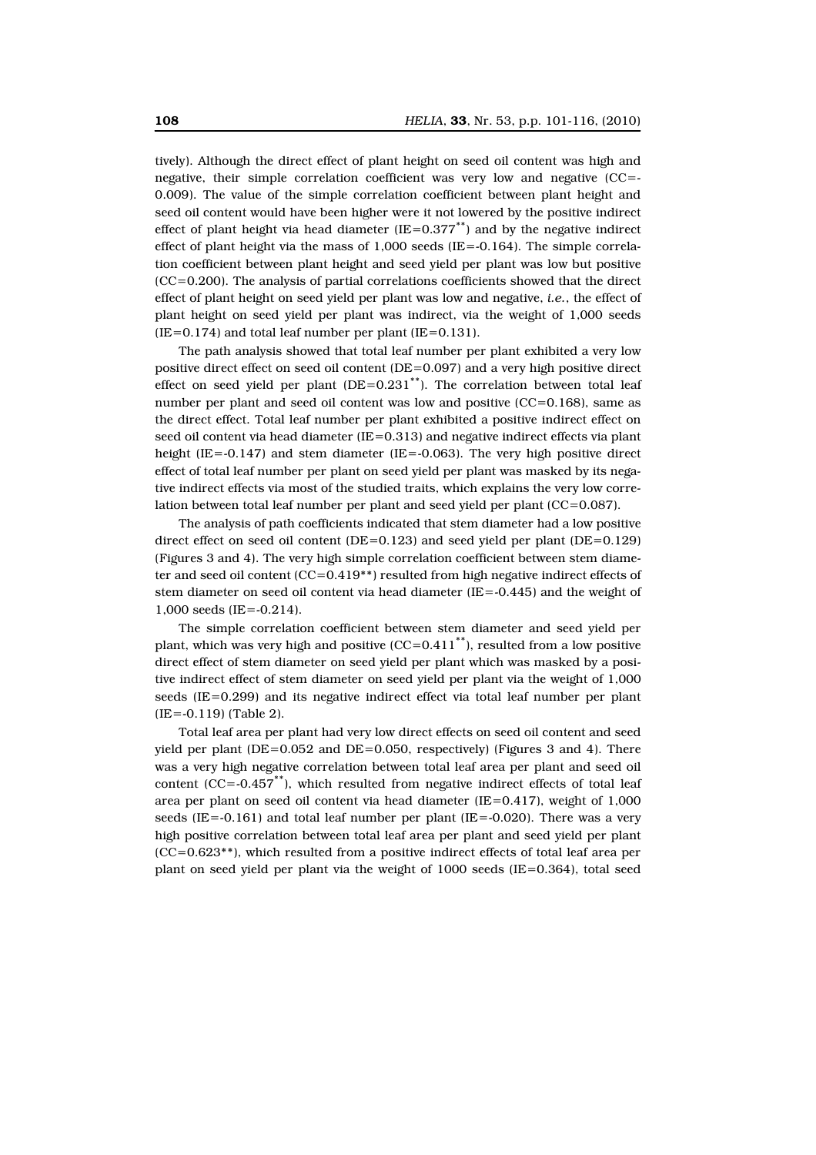tively). Although the direct effect of plant height on seed oil content was high and negative, their simple correlation coefficient was very low and negative (CC=- 0.009). The value of the simple correlation coefficient between plant height and seed oil content would have been higher were it not lowered by the positive indirect effect of plant height via head diameter  $(IE=0.377^{**})$  and by the negative indirect effect of plant height via the mass of  $1,000$  seeds (IE=-0.164). The simple correlation coefficient between plant height and seed yield per plant was low but positive (CC=0.200). The analysis of partial correlations coefficients showed that the direct effect of plant height on seed yield per plant was low and negative, *i.e.*, the effect of plant height on seed yield per plant was indirect, via the weight of 1,000 seeds  $(IE=0.174)$  and total leaf number per plant  $(IE=0.131)$ .

The path analysis showed that total leaf number per plant exhibited a very low positive direct effect on seed oil content (DE=0.097) and a very high positive direct effect on seed yield per plant  $(DE=0.231^{**})$ . The correlation between total leaf number per plant and seed oil content was low and positive  $(CC=0.168)$ , same as the direct effect. Total leaf number per plant exhibited a positive indirect effect on seed oil content via head diameter (IE=0.313) and negative indirect effects via plant height (IE=-0.147) and stem diameter (IE=-0.063). The very high positive direct effect of total leaf number per plant on seed yield per plant was masked by its negative indirect effects via most of the studied traits, which explains the very low correlation between total leaf number per plant and seed yield per plant (CC=0.087).

The analysis of path coefficients indicated that stem diameter had a low positive direct effect on seed oil content ( $DE=0.123$ ) and seed yield per plant ( $DE=0.129$ ) (Figures 3 and 4). The very high simple correlation coefficient between stem diameter and seed oil content  $(CC=0.419**)$  resulted from high negative indirect effects of stem diameter on seed oil content via head diameter (IE=-0.445) and the weight of 1,000 seeds (IE=-0.214).

The simple correlation coefficient between stem diameter and seed yield per plant, which was very high and positive  $(CC=0.411$ <sup>\*\*</sup>), resulted from a low positive direct effect of stem diameter on seed yield per plant which was masked by a positive indirect effect of stem diameter on seed yield per plant via the weight of 1,000 seeds (IE=0.299) and its negative indirect effect via total leaf number per plant (IE=-0.119) (Table 2).

Total leaf area per plant had very low direct effects on seed oil content and seed yield per plant  $(DE=0.052$  and  $DE=0.050$ , respectively) (Figures 3 and 4). There was a very high negative correlation between total leaf area per plant and seed oil content ( $CC = -0.457^*$ ), which resulted from negative indirect effects of total leaf area per plant on seed oil content via head diameter (IE=0.417), weight of  $1,000$ seeds (IE= $-0.161$ ) and total leaf number per plant (IE= $-0.020$ ). There was a very high positive correlation between total leaf area per plant and seed yield per plant (CC=0.623\*\*), which resulted from a positive indirect effects of total leaf area per plant on seed yield per plant via the weight of 1000 seeds (IE=0.364), total seed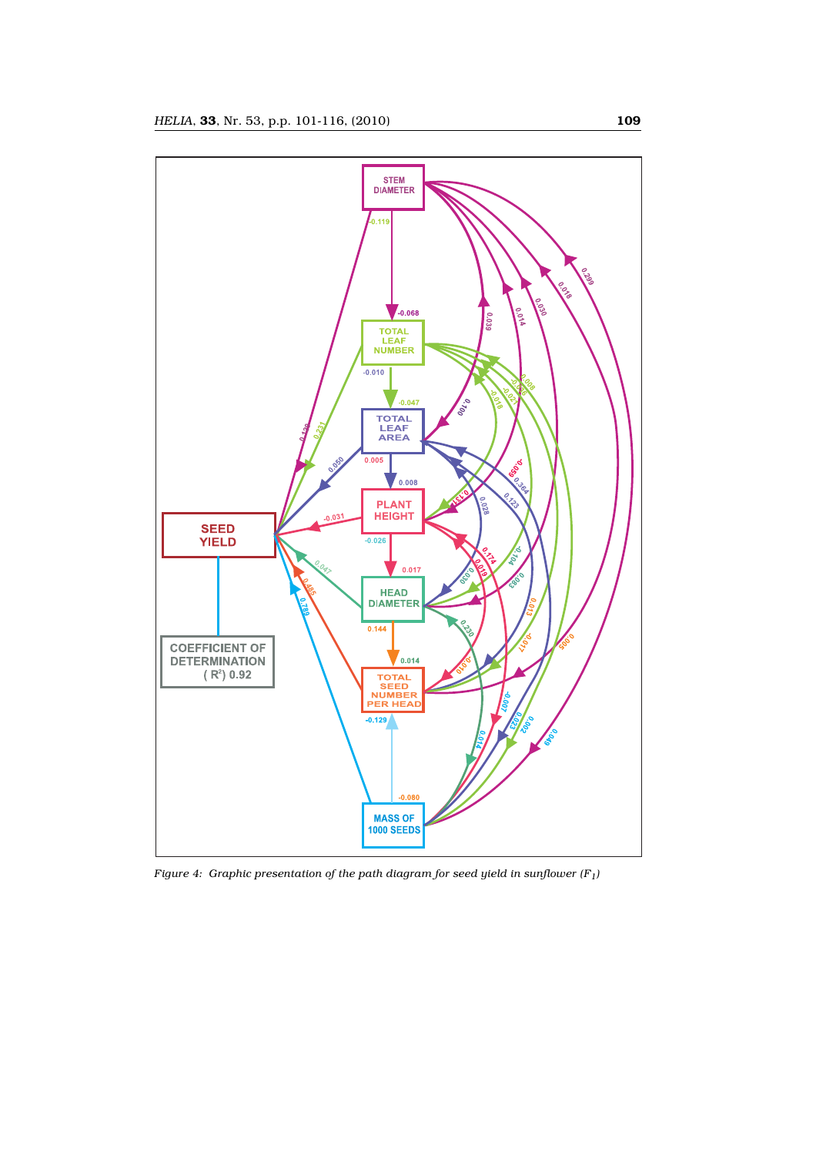

*Figure 4: Graphic presentation of the path diagram for seed yield in sunflower (F1)*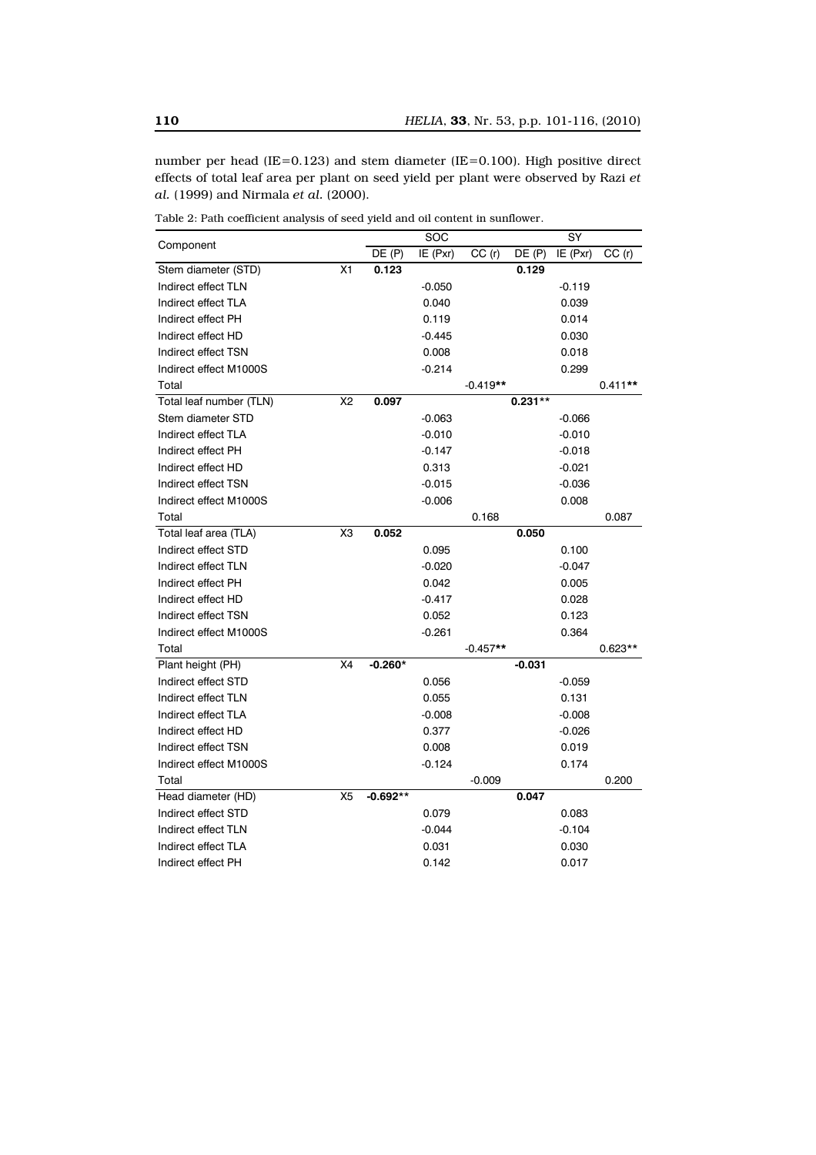number per head (IE=0.123) and stem diameter (IE=0.100). High positive direct effects of total leaf area per plant on seed yield per plant were observed by Razi *et al.* (1999) and Nirmala *et al.* (2000).

|                         |                | SOC        |          | SY         |           |          |           |
|-------------------------|----------------|------------|----------|------------|-----------|----------|-----------|
| Component               |                | DE(P)      | IE (Pxr) | CC(r)      | DE(P)     | IE (Pxr) | CC(r)     |
| Stem diameter (STD)     | X <sub>1</sub> | 0.123      |          |            | 0.129     |          |           |
| Indirect effect TLN     |                |            | $-0.050$ |            |           | $-0.119$ |           |
| Indirect effect TLA     |                |            | 0.040    |            |           | 0.039    |           |
| Indirect effect PH      |                |            | 0.119    |            |           | 0.014    |           |
| Indirect effect HD      |                |            | $-0.445$ |            |           | 0.030    |           |
| Indirect effect TSN     |                |            | 0.008    |            |           | 0.018    |           |
| Indirect effect M1000S  |                |            | $-0.214$ |            |           | 0.299    |           |
| Total                   |                |            |          | $-0.419**$ |           |          | $0.411**$ |
| Total leaf number (TLN) | X <sub>2</sub> | 0.097      |          |            | $0.231**$ |          |           |
| Stem diameter STD       |                |            | $-0.063$ |            |           | $-0.066$ |           |
| Indirect effect TLA     |                |            | $-0.010$ |            |           | $-0.010$ |           |
| Indirect effect PH      |                |            | $-0.147$ |            |           | $-0.018$ |           |
| Indirect effect HD      |                |            | 0.313    |            |           | $-0.021$ |           |
| Indirect effect TSN     |                |            | $-0.015$ |            |           | $-0.036$ |           |
| Indirect effect M1000S  |                |            | $-0.006$ |            |           | 0.008    |           |
| Total                   |                |            |          | 0.168      |           |          | 0.087     |
| Total leaf area (TLA)   | X <sub>3</sub> | 0.052      |          |            | 0.050     |          |           |
| Indirect effect STD     |                |            | 0.095    |            |           | 0.100    |           |
| Indirect effect TLN     |                |            | $-0.020$ |            |           | $-0.047$ |           |
| Indirect effect PH      |                |            | 0.042    |            |           | 0.005    |           |
| Indirect effect HD      |                |            | $-0.417$ |            |           | 0.028    |           |
| Indirect effect TSN     |                |            | 0.052    |            |           | 0.123    |           |
| Indirect effect M1000S  |                |            | $-0.261$ |            |           | 0.364    |           |
| Total                   |                |            |          | $-0.457**$ |           |          | $0.623**$ |
| Plant height (PH)       | X4             | $-0.260*$  |          |            | $-0.031$  |          |           |
| Indirect effect STD     |                |            | 0.056    |            |           | $-0.059$ |           |
| Indirect effect TLN     |                |            | 0.055    |            |           | 0.131    |           |
| Indirect effect TLA     |                |            | $-0.008$ |            |           | $-0.008$ |           |
| Indirect effect HD      |                |            | 0.377    |            |           | $-0.026$ |           |
| Indirect effect TSN     |                |            | 0.008    |            |           | 0.019    |           |
| Indirect effect M1000S  |                |            | $-0.124$ |            |           | 0.174    |           |
| Total                   |                |            |          | $-0.009$   |           |          | 0.200     |
| Head diameter (HD)      | X <sub>5</sub> | $-0.692**$ |          |            | 0.047     |          |           |
| Indirect effect STD     |                |            | 0.079    |            |           | 0.083    |           |
| Indirect effect TLN     |                |            | $-0.044$ |            |           | $-0.104$ |           |
| Indirect effect TLA     |                |            | 0.031    |            |           | 0.030    |           |
| Indirect effect PH      |                |            | 0.142    |            |           | 0.017    |           |

Table 2: Path coefficient analysis of seed yield and oil content in sunflower.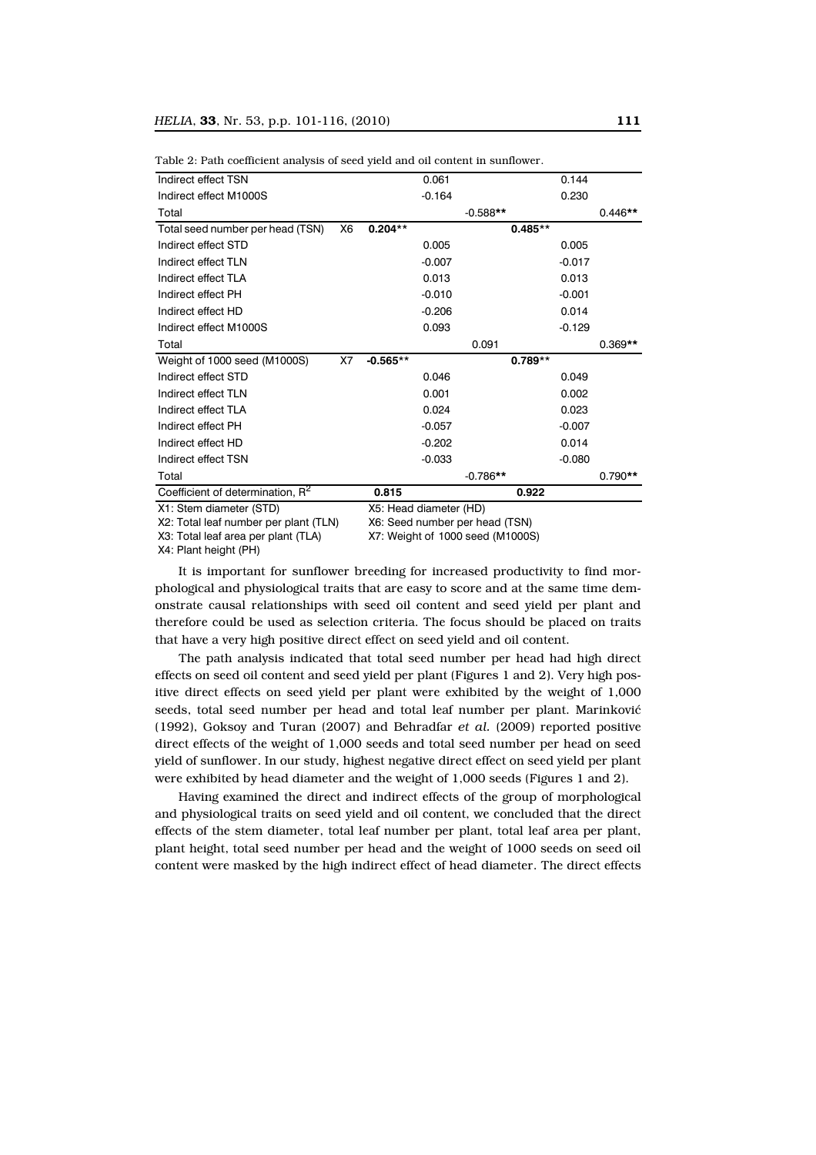| Indirect effect TSN                          |                        |            | 0.061    |            | 0.144    |           |
|----------------------------------------------|------------------------|------------|----------|------------|----------|-----------|
| Indirect effect M1000S                       |                        |            | $-0.164$ |            | 0.230    |           |
| Total                                        |                        |            |          | $-0.588**$ |          | $0.446**$ |
| Total seed number per head (TSN)             | X6                     | $0.204**$  |          | $0.485**$  |          |           |
| Indirect effect STD                          |                        |            | 0.005    |            | 0.005    |           |
| Indirect effect TLN                          |                        |            | $-0.007$ |            | $-0.017$ |           |
| Indirect effect TLA                          |                        |            | 0.013    |            | 0.013    |           |
| Indirect effect PH                           |                        |            | $-0.010$ |            | $-0.001$ |           |
| Indirect effect HD                           |                        |            | $-0.206$ |            | 0.014    |           |
| Indirect effect M1000S                       |                        |            | 0.093    |            | $-0.129$ |           |
| Total                                        |                        |            |          | 0.091      |          | $0.369**$ |
| Weight of 1000 seed (M1000S)                 | X7                     | $-0.565**$ |          | $0.789**$  |          |           |
| Indirect effect STD                          |                        |            | 0.046    |            | 0.049    |           |
| Indirect effect TLN                          |                        |            | 0.001    |            | 0.002    |           |
| Indirect effect TLA                          |                        |            | 0.024    |            | 0.023    |           |
| Indirect effect PH                           |                        |            | $-0.057$ |            | $-0.007$ |           |
| Indirect effect HD                           |                        |            | $-0.202$ |            | 0.014    |           |
| Indirect effect TSN                          |                        |            | $-0.033$ |            | $-0.080$ |           |
| Total                                        |                        |            |          | $-0.786**$ |          | $0.790**$ |
| Coefficient of determination, R <sup>2</sup> |                        | 0.815      |          | 0.922      |          |           |
| X1: Stem diameter (STD)                      | X5: Head diameter (HD) |            |          |            |          |           |

Table 2: Path coefficient analysis of seed yield and oil content in sunflower.

X1: Stem diameter (STD)

X2: Total leaf number per plant (TLN) X3: Total leaf area per plant (TLA)

X6: Seed number per head (TSN)

X7: Weight of 1000 seed (M1000S)

X4: Plant height (PH)

It is important for sunflower breeding for increased productivity to find morphological and physiological traits that are easy to score and at the same time demonstrate causal relationships with seed oil content and seed yield per plant and therefore could be used as selection criteria. The focus should be placed on traits that have a very high positive direct effect on seed yield and oil content.

The path analysis indicated that total seed number per head had high direct effects on seed oil content and seed yield per plant (Figures 1 and 2). Very high positive direct effects on seed yield per plant were exhibited by the weight of 1,000 seeds, total seed number per head and total leaf number per plant. Marinković (1992), Goksoy and Turan (2007) and Behradfar *et al.* (2009) reported positive direct effects of the weight of 1,000 seeds and total seed number per head on seed yield of sunflower. In our study, highest negative direct effect on seed yield per plant were exhibited by head diameter and the weight of 1,000 seeds (Figures 1 and 2).

Having examined the direct and indirect effects of the group of morphological and physiological traits on seed yield and oil content, we concluded that the direct effects of the stem diameter, total leaf number per plant, total leaf area per plant, plant height, total seed number per head and the weight of 1000 seeds on seed oil content were masked by the high indirect effect of head diameter. The direct effects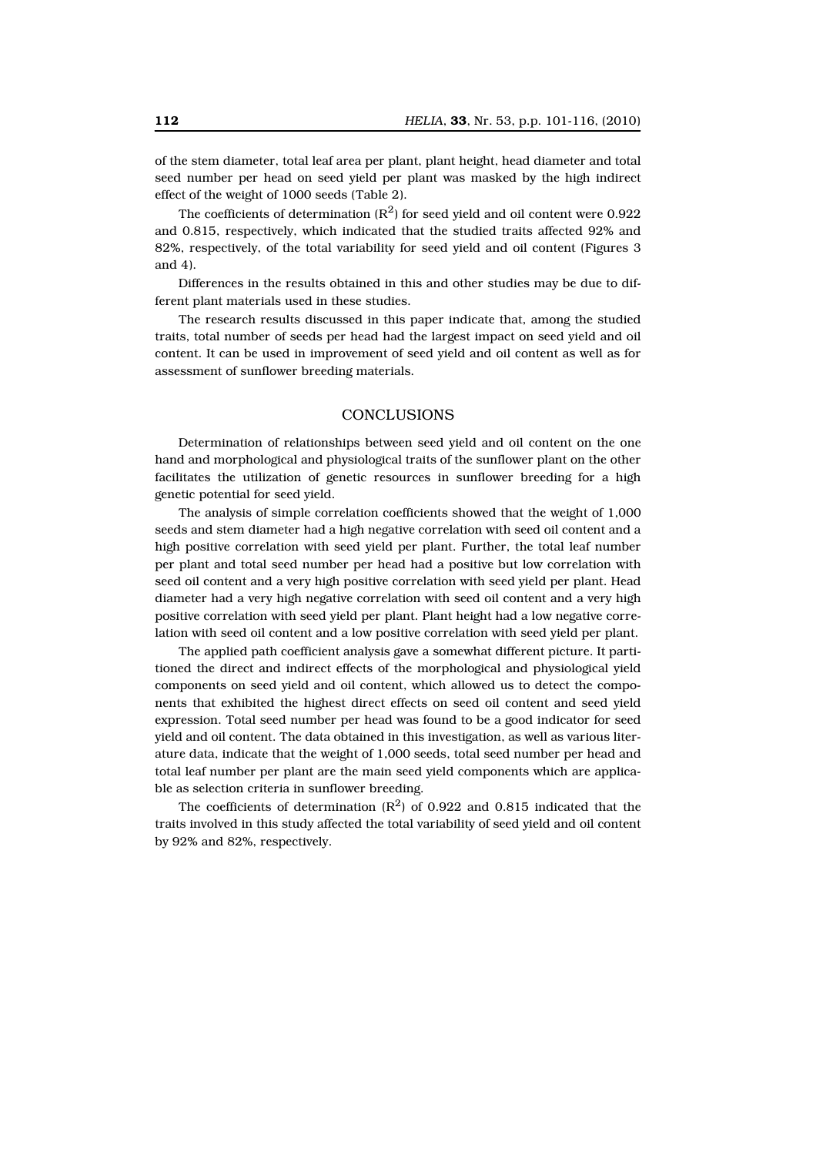of the stem diameter, total leaf area per plant, plant height, head diameter and total seed number per head on seed yield per plant was masked by the high indirect effect of the weight of 1000 seeds (Table 2).

The coefficients of determination  $(R^2)$  for seed yield and oil content were 0.922 and 0.815, respectively, which indicated that the studied traits affected 92% and 82%, respectively, of the total variability for seed yield and oil content (Figures 3 and 4).

Differences in the results obtained in this and other studies may be due to different plant materials used in these studies.

The research results discussed in this paper indicate that, among the studied traits, total number of seeds per head had the largest impact on seed yield and oil content. It can be used in improvement of seed yield and oil content as well as for assessment of sunflower breeding materials.

### **CONCLUSIONS**

Determination of relationships between seed yield and oil content on the one hand and morphological and physiological traits of the sunflower plant on the other facilitates the utilization of genetic resources in sunflower breeding for a high genetic potential for seed yield.

The analysis of simple correlation coefficients showed that the weight of 1,000 seeds and stem diameter had a high negative correlation with seed oil content and a high positive correlation with seed yield per plant. Further, the total leaf number per plant and total seed number per head had a positive but low correlation with seed oil content and a very high positive correlation with seed yield per plant. Head diameter had a very high negative correlation with seed oil content and a very high positive correlation with seed yield per plant. Plant height had a low negative correlation with seed oil content and a low positive correlation with seed yield per plant.

The applied path coefficient analysis gave a somewhat different picture. It partitioned the direct and indirect effects of the morphological and physiological yield components on seed yield and oil content, which allowed us to detect the components that exhibited the highest direct effects on seed oil content and seed yield expression. Total seed number per head was found to be a good indicator for seed yield and oil content. The data obtained in this investigation, as well as various literature data, indicate that the weight of 1,000 seeds, total seed number per head and total leaf number per plant are the main seed yield components which are applicable as selection criteria in sunflower breeding.

The coefficients of determination  $(R^2)$  of 0.922 and 0.815 indicated that the traits involved in this study affected the total variability of seed yield and oil content by 92% and 82%, respectively.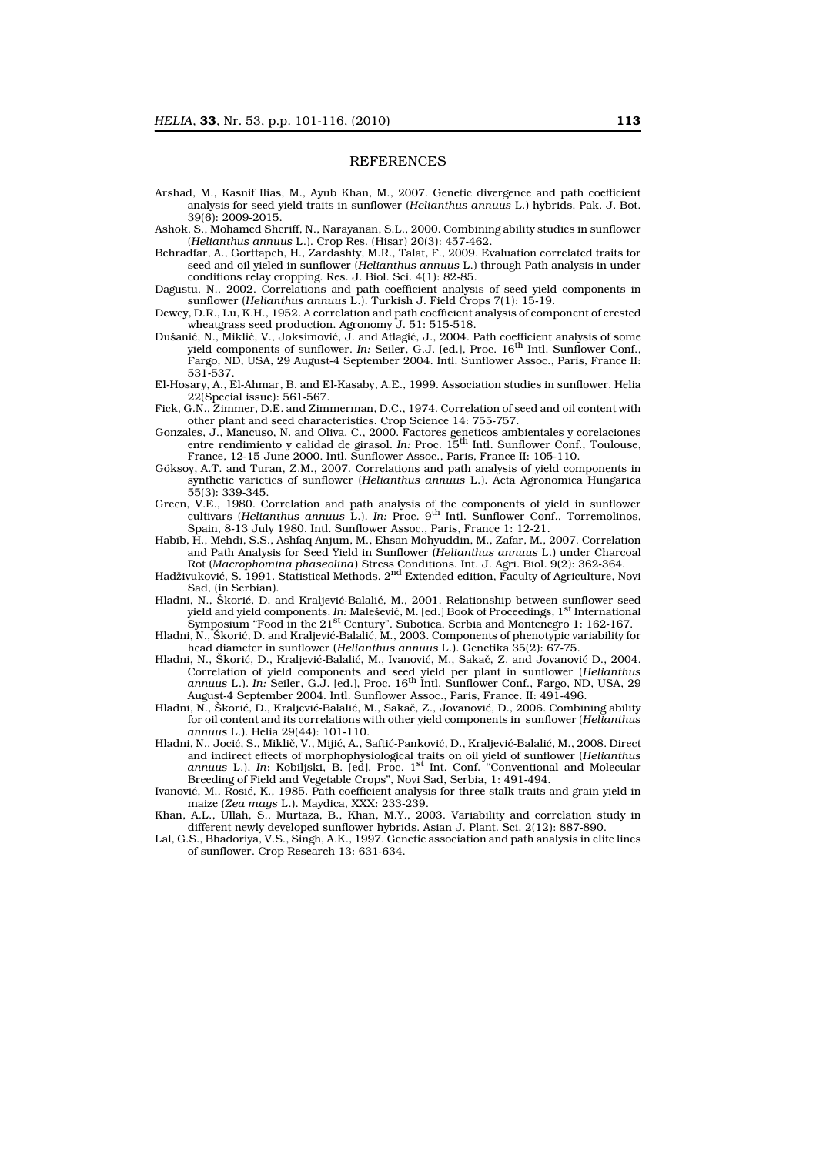#### **REFERENCES**

- Arshad, M., Kasnif Ilias, M., Ayub Khan, M., 2007. Genetic divergence and path coefficient analysis for seed yield traits in sunflower (*Helianthus annuus* L.) hybrids. Pak. J. Bot. 39(6): 2009-2015.
- Ashok, S., Mohamed Sheriff, N., Narayanan, S.L., 2000. Combining ability studies in sunflower (*Helianthus annuus* L.). Crop Res. (Hisar) 20(3): 457-462.
- Behradfar, A., Gorttapeh, H., Zardashty, M.R., Talat, F., 2009. Evaluation correlated traits for seed and oil yieled in sunflower (*Helianthus annuus* L.) through Path analysis in under conditions relay cropping. Res. J. Biol. Sci. 4(1): 82-85.
- Dagustu, N., 2002. Correlations and path coefficient analysis of seed yield components in sunflower (*Helianthus annuus* L.). Turkish J. Field Crops 7(1): 15-19.
- Dewey, D.R., Lu, K.H., 1952. A correlation and path coefficient analysis of component of crested wheatgrass seed production. Agronomy J. 51: 515-518.
- Dušanić, N., Miklič, V., Joksimović, J. and Atlagić, J., 2004. Path coefficient analysis of some yield components of sunflower. *In:* Seiler, G.J. [ed.], Proc. 16th Intl. Sunflower Conf., Fargo, ND, USA, 29 August-4 September 2004. Intl. Sunflower Assoc., Paris, France II: 531-537.
- El-Hosary, A., El-Ahmar, B. and El-Kasaby, A.E., 1999. Association studies in sunflower. Helia 22(Special issue): 561-567.
- Fick, G.N., Zimmer, D.E. and Zimmerman, D.C., 1974. Correlation of seed and oil content with other plant and seed characteristics. Crop Science 14: 755-757.
- Gonzales, J., Mancuso, N. and Oliva, C., 2000. Factores geneticos ambientales y corelaciones entre rendimiento y calidad de girasol. *In:* Proc. 15<sup>th</sup> Intl. Sunflower Conf., Toulouse, France, 12-15 June 2000. Intl. Sunflower Assoc., Paris, France II: 105-110.
- Göksoy, A.T. and Turan, Z.M., 2007. Correlations and path analysis of yield components in synthetic varieties of sunflower (*Helianthus annuus* L.). Acta Agronomica Hungarica 55(3): 339-345.
- Green, V.E., 1980. Correlation and path analysis of the components of yield in sunflower cultivars (*Helianthus annuus* L.). *In:* Proc. 9th Intl. Sunflower Conf., Torremolinos, Spain, 8-13 July 1980. Intl. Sunflower Assoc., Paris, France 1: 12-21.
- Habib, H., Mehdi, S.S., Ashfaq Anjum, M., Ehsan Mohyuddin, M., Zafar, M., 2007. Correlation and Path Analysis for Seed Yield in Sunflower (*Helianthus annuus* L.) under Charcoal Rot (*Macrophomina phaseolina*) Stress Conditions. Int. J. Agri. Biol. 9(2): 362-364.
- Hadživuković, S. 1991. Statistical Methods. 2nd Extended edition, Faculty of Agriculture, Novi Sad, (in Serbian).
- Hladni, N., Škorić, D. and Kraljević-Balalić, M., 2001. Relationship between sunflower seed yield and yield components. *In:* Malešević, M. [ed.] Book of Proceedings, 1st International Symposium "Food in the 21<sup>st</sup> Century". Subotica, Serbia and Montenegro 1: 162-167.
- Hladni, N., Škorić, D. and Kraljević-Balalić, M., 2003. Components of phenotypic variability for head diameter in sunflower (*Helianthus annuus* L.). Genetika 35(2): 67-75.
- Hladni, N., Škorić, D., Kraljević-Balalić, M., Ivanović, M., Sakač, Z. and Jovanović D., 2004. Correlation of yield components and seed yield per plant in sunflower (*Helianthus annuus* L.). *In:* Seiler, G.J. [ed.], Proc. 16th Intl. Sunflower Conf., Fargo, ND, USA, 29 August-4 September 2004. Intl. Sunflower Assoc., Paris, France. II: 491-496.
- Hladni, N., Škorić, D., Kraljević-Balalić, M., Sakač, Z., Jovanović, D., 2006. Combining ability for oil content and its correlations with other yield components in sunflower (*Helianthus annuus* L.). Helia 29(44): 101-110.
- Hladni, N., Jocić, S., Miklič, V., Mijić, A., Saftić-Panković, D., Kraljević-Balalić, M., 2008. Direct and indirect effects of morphophysiological traits on oil yield of sunflower (*Helianthus annuus* L.). *In*: Kobiljski, B. [ed], Proc. 1st Int. Conf. "Conventional and Molecular Breeding of Field and Vegetable Crops", Novi Sad, Serbia, 1: 491-494.
- Ivanović, M., Rosić, K., 1985. Path coefficient analysis for three stalk traits and grain yield in maize (*Zea mays* L.). Maydica, XXX: 233-239.
- Khan, A.L., Ullah, S., Murtaza, B., Khan, M.Y., 2003. Variability and correlation study in different newly developed sunflower hybrids. Asian J. Plant. Sci. 2(12): 887-890.
- Lal, G.S., Bhadoriya, V.S., Singh, A.K., 1997. Genetic association and path analysis in elite lines of sunflower. Crop Research 13: 631-634.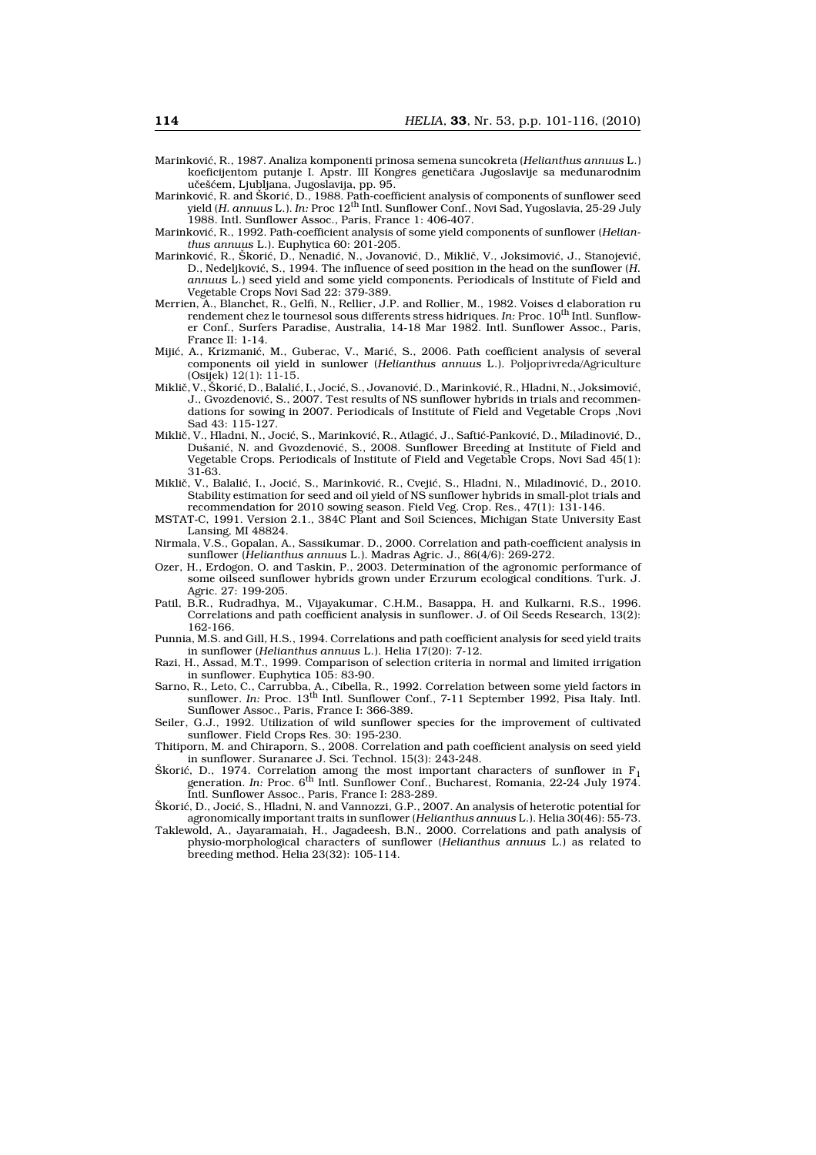- Marinković, R., 1987. Analiza komponenti prinosa semena suncokreta (*Helianthus annuus* L.) koeficijentom putanje I. Apstr. III Kongres genetičara Jugoslavije sa međunarodnim učešćem, Ljubljana, Jugoslavija, pp. 95.
- Marinković, R. and Škorić, D., 1988. Path-coefficient analysis of components of sunflower seed yield (*H. annuus* L.). *In:* Proc 12th Intl. Sunflower Conf., Novi Sad, Yugoslavia, 25-29 July 1988. Intl. Sunflower Assoc., Paris, France 1: 406-407.
- Marinković, R., 1992. Path-coefficient analysis of some yield components of sunflower (*Helianthus annuus* L.). Euphytica 60: 201-205.
- Marinković, R., Škorić, D., Nenadić, N., Jovanović, D., Miklič, V., Joksimović, J., Stanojević, D., Nedeljković, S., 1994. The influence of seed position in the head on the sunflower (*H. annuus* L.) seed yield and some yield components. Periodicals of Institute of Field and Vegetable Crops Novi Sad 22: 379-389.
- Merrien, A., Blanchet, R., Gelfi, N., Rellier, J.P. and Rollier, M., 1982. Voises d elaboration ru rendement chez le tournesol sous differents stress hidriques. *In:* Proc. 10<sup>th</sup> Intl. Sunflower Conf., Surfers Paradise, Australia, 14-18 Mar 1982. Intl. Sunflower Assoc., Paris, France II: 1-14.
- Mijić, A., Krizmanić, M., Guberac, V., Marić, S., 2006. Path coefficient analysis of several components oil yield in sunlower (*Helianthus annuus* L.). Poljoprivreda/Agriculture (Osijek) 12(1): 11-15.
- Miklič, V., Škorić, D., Balalić, I., Jocić, S., Jovanović, D., Marinković, R., Hladni, N., Joksimović, J., Gvozdenović, S., 2007. Test results of NS sunflower hybrids in trials and recommendations for sowing in 2007. Periodicals of Institute of Field and Vegetable Crops ,Novi Sad 43: 115-127.
- Miklič, V., Hladni, N., Jocić, S., Marinković, R., Atlagić, J., Saftić-Panković, D., Miladinović, D., Dušanić, N. and Gvozdenović, S., 2008. Sunflower Breeding at Institute of Field and Vegetable Crops. Periodicals of Institute of Field and Vegetable Crops, Novi Sad 45(1): 31-63.
- Miklič, V., Balalić, I., Jocić, S., Marinković, R., Cvejić, S., Hladni, N., Miladinović, D., 2010. Stability estimation for seed and oil yield of NS sunflower hybrids in small-plot trials and recommendation for 2010 sowing season. Field Veg. Crop. Res., 47(1): 131-146.
- MSTAT-C, 1991. Version 2.1., 384C Plant and Soil Sciences, Michigan State University East Lansing, MI 48824.
- Nirmala, V.S., Gopalan, A., Sassikumar. D., 2000. Correlation and path-coefficient analysis in sunflower (*Helianthus annuus* L.). Madras Agric. J., 86(4/6): 269-272.
- Ozer, H., Erdogon, O. and Taskin, P., 2003. Determination of the agronomic performance of some oilseed sunflower hybrids grown under Erzurum ecological conditions. Turk. J. Agric. 27: 199-205.
- Patil, B.R., Rudradhya, M., Vijayakumar, C.H.M., Basappa, H. and Kulkarni, R.S., 1996. Correlations and path coefficient analysis in sunflower. J. of Oil Seeds Research, 13(2): 162-166.
- Punnia, M.S. and Gill, H.S., 1994. Correlations and path coefficient analysis for seed yield traits in sunflower (*Helianthus annuus* L.). Helia 17(20): 7-12.
- Razi, H., Assad, M.T., 1999. Comparison of selection criteria in normal and limited irrigation in sunflower. Euphytica 105: 83-90.
- Sarno, R., Leto, C., Carrubba, A., Cibella, R., 1992. Correlation between some yield factors in sunflower. *In:* Proc. 13th Intl. Sunflower Conf., 7-11 September 1992, Pisa Italy. Intl. Sunflower Assoc., Paris, France I: 366-389.
- Seiler, G.J., 1992. Utilization of wild sunflower species for the improvement of cultivated sunflower. Field Crops Res. 30: 195-230.
- Thitiporn, M. and Chiraporn, S., 2008. Correlation and path coefficient analysis on seed yield in sunflower. Suranaree J. Sci. Technol. 15(3): 243-248.
- Skorić, D., 1974. Correlation among the most important characters of sunflower in F<sub>1</sub> generation. *In:* Proc. 6<sup>th</sup> Intl. Sunflower Conf., Bucharest, Romania, 22-24 July 1974. Intl. Sunflower Assoc., Paris, France I: 283-289.
- Škorić, D., Jocić, S., Hladni, N. and Vannozzi, G.P., 2007. An analysis of heterotic potential for agronomically important traits in sunflower (*Helianthus annuus* L.). Helia 30(46): 55-73.
- Taklewold, A., Jayaramaiah, H., Jagadeesh, B.N., 2000. Correlations and path analysis of physio-morphological characters of sunflower (*Helianthus annuus* L.) as related to breeding method. Helia 23(32): 105-114.